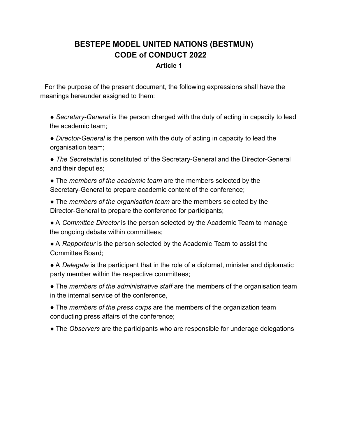# **BESTEPE MODEL UNITED NATIONS (BESTMUN) CODE of CONDUCT 2022**

#### **Article 1**

For the purpose of the present document, the following expressions shall have the meanings hereunder assigned to them:

● *Secretary-General* is the person charged with the duty of acting in capacity to lead the academic team;

● *Director-General* is the person with the duty of acting in capacity to lead the organisation team;

● *The Secretariat* is constituted of the Secretary-General and the Director-General and their deputies;

● The *members of the academic team* are the members selected by the Secretary-General to prepare academic content of the conference;

● The *members of the organisation team* are the members selected by the Director-General to prepare the conference for participants;

● A *Committee Director* is the person selected by the Academic Team to manage the ongoing debate within committees;

● A *Rapporteur* is the person selected by the Academic Team to assist the Committee Board;

● A *Delegate* is the participant that in the role of a diplomat, minister and diplomatic party member within the respective committees;

● The *members of the administrative staff* are the members of the organisation team in the internal service of the conference,

● The *members of the press corps* are the members of the organization team conducting press affairs of the conference;

● The *Observers* are the participants who are responsible for underage delegations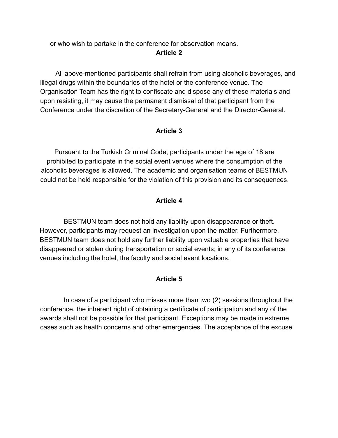or who wish to partake in the conference for observation means.

**Article 2**

All above-mentioned participants shall refrain from using alcoholic beverages, and illegal drugs within the boundaries of the hotel or the conference venue. The Organisation Team has the right to confiscate and dispose any of these materials and upon resisting, it may cause the permanent dismissal of that participant from the Conference under the discretion of the Secretary-General and the Director-General.

# **Article 3**

Pursuant to the Turkish Criminal Code, participants under the age of 18 are prohibited to participate in the social event venues where the consumption of the alcoholic beverages is allowed. The academic and organisation teams of BESTMUN could not be held responsible for the violation of this provision and its consequences.

# **Article 4**

BESTMUN team does not hold any liability upon disappearance or theft. However, participants may request an investigation upon the matter. Furthermore, BESTMUN team does not hold any further liability upon valuable properties that have disappeared or stolen during transportation or social events; in any of its conference venues including the hotel, the faculty and social event locations.

# **Article 5**

In case of a participant who misses more than two (2) sessions throughout the conference, the inherent right of obtaining a certificate of participation and any of the awards shall not be possible for that participant. Exceptions may be made in extreme cases such as health concerns and other emergencies. The acceptance of the excuse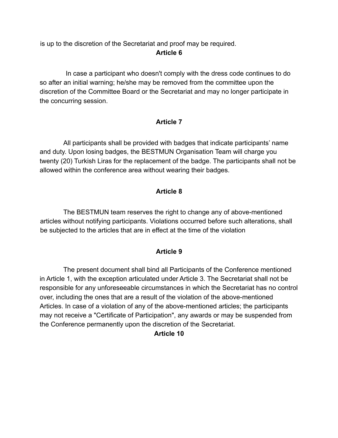is up to the discretion of the Secretariat and proof may be required. **Article 6**

In case a participant who doesn't comply with the dress code continues to do so after an initial warning; he/she may be removed from the committee upon the discretion of the Committee Board or the Secretariat and may no longer participate in the concurring session.

### **Article 7**

All participants shall be provided with badges that indicate participants' name and duty. Upon losing badges, the BESTMUN Organisation Team will charge you twenty (20) Turkish Liras for the replacement of the badge. The participants shall not be allowed within the conference area without wearing their badges.

### **Article 8**

The BESTMUN team reserves the right to change any of above-mentioned articles without notifying participants. Violations occurred before such alterations, shall be subjected to the articles that are in effect at the time of the violation

#### **Article 9**

The present document shall bind all Participants of the Conference mentioned in Article 1, with the exception articulated under Article 3. The Secretariat shall not be responsible for any unforeseeable circumstances in which the Secretariat has no control over, including the ones that are a result of the violation of the above-mentioned Articles. In case of a violation of any of the above-mentioned articles; the participants may not receive a "Certificate of Participation", any awards or may be suspended from the Conference permanently upon the discretion of the Secretariat.

#### **Article 10**